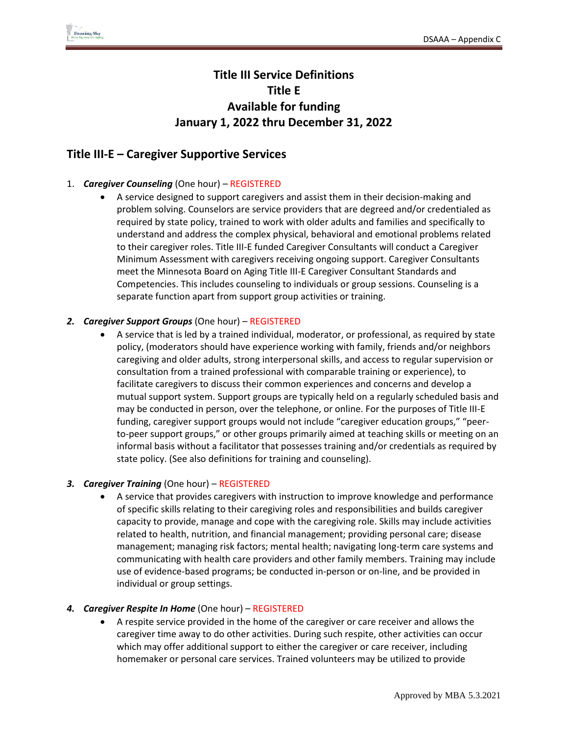# **Title III Service Definitions Title E Available for funding January 1, 2022 thru December 31, 2022**

# **Title III-E – Caregiver Supportive Services**

## 1. *Caregiver Counseling* (One hour) – REGISTERED

• A service designed to support caregivers and assist them in their decision-making and problem solving. Counselors are service providers that are degreed and/or credentialed as required by state policy, trained to work with older adults and families and specifically to understand and address the complex physical, behavioral and emotional problems related to their caregiver roles. Title III-E funded Caregiver Consultants will conduct a Caregiver Minimum Assessment with caregivers receiving ongoing support. Caregiver Consultants meet the Minnesota Board on Aging Title III-E Caregiver Consultant Standards and Competencies. This includes counseling to individuals or group sessions. Counseling is a separate function apart from support group activities or training.

## *2. Caregiver Support Groups* (One hour) – REGISTERED

• A service that is led by a trained individual, moderator, or professional, as required by state policy, (moderators should have experience working with family, friends and/or neighbors caregiving and older adults, strong interpersonal skills, and access to regular supervision or consultation from a trained professional with comparable training or experience), to facilitate caregivers to discuss their common experiences and concerns and develop a mutual support system. Support groups are typically held on a regularly scheduled basis and may be conducted in person, over the telephone, or online. For the purposes of Title III-E funding, caregiver support groups would not include "caregiver education groups," "peerto-peer support groups," or other groups primarily aimed at teaching skills or meeting on an informal basis without a facilitator that possesses training and/or credentials as required by state policy. (See also definitions for training and counseling).

## *3. Caregiver Training* (One hour) – REGISTERED

• A service that provides caregivers with instruction to improve knowledge and performance of specific skills relating to their caregiving roles and responsibilities and builds caregiver capacity to provide, manage and cope with the caregiving role. Skills may include activities related to health, nutrition, and financial management; providing personal care; disease management; managing risk factors; mental health; navigating long-term care systems and communicating with health care providers and other family members. Training may include use of evidence-based programs; be conducted in-person or on-line, and be provided in individual or group settings.

## *4. Caregiver Respite In Home* (One hour) – REGISTERED

• A respite service provided in the home of the caregiver or care receiver and allows the caregiver time away to do other activities. During such respite, other activities can occur which may offer additional support to either the caregiver or care receiver, including homemaker or personal care services. Trained volunteers may be utilized to provide